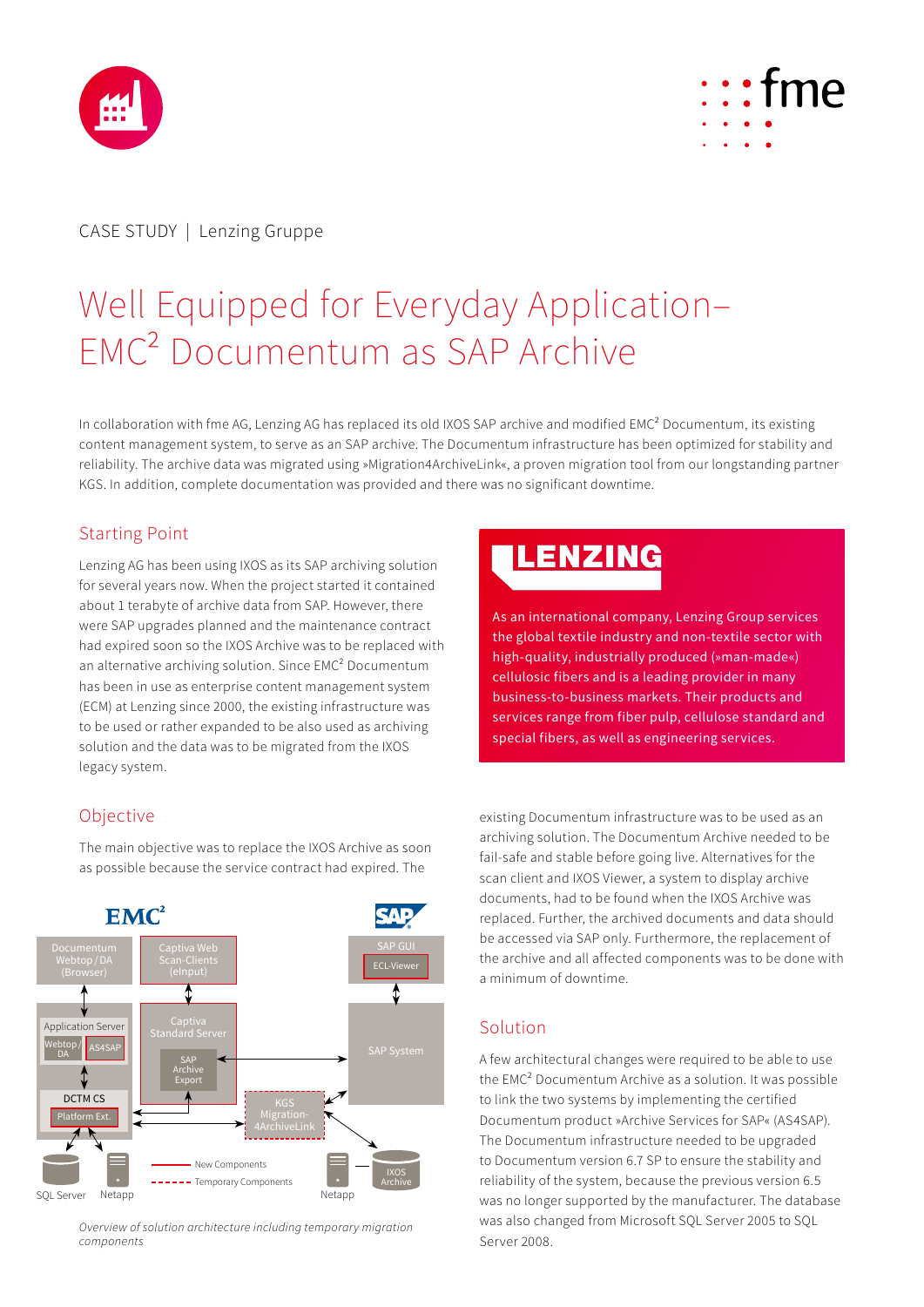



# CASE STUDY | Lenzing Gruppe

# Well Equipped for Everyday Application– EMC² Documentum as SAP Archive

In collaboration with fme AG, Lenzing AG has replaced its old IXOS SAP archive and modified EMC² Documentum, its existing content management system, to serve as an SAP archive. The Documentum infrastructure has been optimized for stability and reliability. The archive data was migrated using »Migration4ArchiveLink«, a proven migration tool from our longstanding partner KGS. In addition, complete documentation was provided and there was no significant downtime.

### Starting Point

Lenzing AG has been using IXOS as its SAP archiving solution for several years now. When the project started it contained about 1 terabyte of archive data from SAP. However, there were SAP upgrades planned and the maintenance contract had expired soon so the IXOS Archive was to be replaced with an alternative archiving solution. Since EMC² Documentum has been in use as enterprise content management system (ECM) at Lenzing since 2000, the existing infrastructure was to be used or rather expanded to be also used as archiving solution and the data was to be migrated from the IXOS legacy system.

# LENZING

As an international company, Lenzing Group services the global textile industry and non-textile sector with high-quality, industrially produced (»man-made«) cellulosic fibers and is a leading provider in many business-to-business markets. Their products and services range from fiber pulp, cellulose standard and special fibers, as well as engineering services.

## Objective

The main objective was to replace the IXOS Archive as soon as possible because the service contract had expired. The



*Overview of solution architecture including temporary migration components*

existing Documentum infrastructure was to be used as an archiving solution. The Documentum Archive needed to be fail-safe and stable before going live. Alternatives for the scan client and IXOS Viewer, a system to display archive documents, had to be found when the IXOS Archive was replaced. Further, the archived documents and data should be accessed via SAP only. Furthermore, the replacement of the archive and all affected components was to be done with a minimum of downtime.

#### Solution

A few architectural changes were required to be able to use the EMC² Documentum Archive as a solution. It was possible to link the two systems by implementing the certified Documentum product »Archive Services for SAP« (AS4SAP). The Documentum infrastructure needed to be upgraded to Documentum version 6.7 SP to ensure the stability and reliability of the system, because the previous version 6.5 was no longer supported by the manufacturer. The database was also changed from Microsoft SQL Server 2005 to SQL Server 2008.